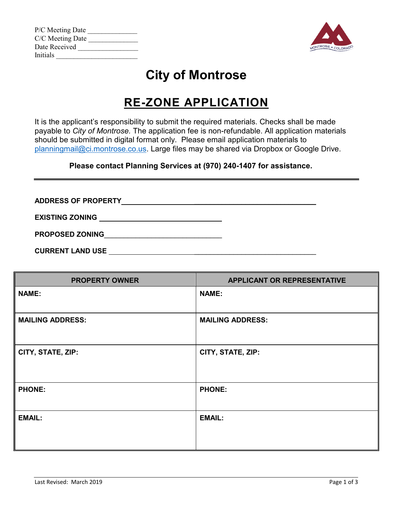| P/C Meeting Date |  |
|------------------|--|
| C/C Meeting Date |  |
| Date Received    |  |
| <b>Initials</b>  |  |



# **City of Montrose**

## **RE-ZONE APPLICATION**

It is the applicant's responsibility to submit the required materials. Checks shall be made payable to *City of Montrose.* The application fee is non-refundable. All application materials should be submitted in digital format only. Please email application materials to [planningmail@ci.montrose.co.us.](mailto:planningmail@ci.montrose.co.us) Large files may be shared via Dropbox or Google Drive.

#### **Please contact Planning Services at (970) 240-1407 for assistance.**

**ADDRESS OF PROPERTY** \_\_\_\_\_\_\_\_\_\_\_\_\_\_\_\_\_\_\_\_\_\_\_\_\_\_\_\_\_\_\_

**EXISTING ZONING** 

**PROPOSED ZONING**\_\_\_\_\_\_\_\_\_\_\_\_\_\_\_\_\_\_\_\_\_\_\_\_\_\_\_\_\_\_

**CURRENT LAND USE** 

| <b>PROPERTY OWNER</b>   | <b>APPLICANT OR REPRESENTATIVE</b> |
|-------------------------|------------------------------------|
| <b>NAME:</b>            | <b>NAME:</b>                       |
| <b>MAILING ADDRESS:</b> | <b>MAILING ADDRESS:</b>            |
| CITY, STATE, ZIP:       | CITY, STATE, ZIP:                  |
| <b>PHONE:</b>           | <b>PHONE:</b>                      |
| <b>EMAIL:</b>           | <b>EMAIL:</b>                      |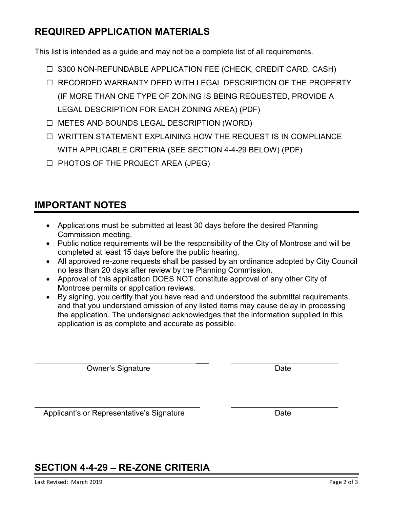### **REQUIRED APPLICATION MATERIALS**

This list is intended as a guide and may not be a complete list of all requirements.

- □ \$300 NON-REFUNDABLE APPLICATION FEE (CHECK, CREDIT CARD, CASH)
- RECORDED WARRANTY DEED WITH LEGAL DESCRIPTION OF THE PROPERTY (IF MORE THAN ONE TYPE OF ZONING IS BEING REQUESTED, PROVIDE A LEGAL DESCRIPTION FOR EACH ZONING AREA) (PDF)
- □ METES AND BOUNDS LEGAL DESCRIPTION (WORD)
- WRITTEN STATEMENT EXPLAINING HOW THE REQUEST IS IN COMPLIANCE WITH APPLICABLE CRITERIA (SEE SECTION 4-4-29 BELOW) (PDF)
- □ PHOTOS OF THE PROJECT AREA (JPEG)

### **IMPORTANT NOTES**

- Applications must be submitted at least 30 days before the desired Planning Commission meeting.
- Public notice requirements will be the responsibility of the City of Montrose and will be completed at least 15 days before the public hearing.
- All approved re-zone requests shall be passed by an ordinance adopted by City Council no less than 20 days after review by the Planning Commission.
- Approval of this application DOES NOT constitute approval of any other City of Montrose permits or application reviews.
- By signing, you certify that you have read and understood the submittal requirements, and that you understand omission of any listed items may cause delay in processing the application. The undersigned acknowledges that the information supplied in this application is as complete and accurate as possible.

 $\overline{\phantom{a}}$ 

 $\overline{a}$ 

Owner's Signature

Date

Applicant's or Representative's Signature

Date

## **SECTION 4-4-29 – RE-ZONE CRITERIA**